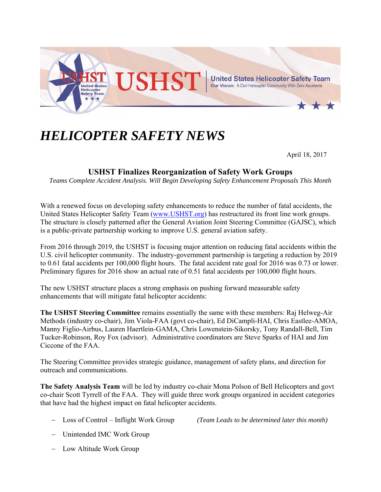

## *HELICOPTER SAFETY NEWS*

April 18, 2017

## **USHST Finalizes Reorganization of Safety Work Groups**

*Teams Complete Accident Analysis. Will Begin Developing Safety Enhancement Proposals This Month* 

With a renewed focus on developing safety enhancements to reduce the number of fatal accidents, the United States Helicopter Safety Team (www.USHST.org) has restructured its front line work groups. The structure is closely patterned after the General Aviation Joint Steering Committee (GAJSC), which is a public-private partnership working to improve U.S. general aviation safety.

From 2016 through 2019, the USHST is focusing major attention on reducing fatal accidents within the U.S. civil helicopter community. The industry-government partnership is targeting a reduction by 2019 to 0.61 fatal accidents per 100,000 flight hours. The fatal accident rate goal for 2016 was 0.73 or lower. Preliminary figures for 2016 show an actual rate of 0.51 fatal accidents per 100,000 flight hours.

The new USHST structure places a strong emphasis on pushing forward measurable safety enhancements that will mitigate fatal helicopter accidents:

**The USHST Steering Committee** remains essentially the same with these members: Raj Helweg-Air Methods (industry co-chair), Jim Viola-FAA (govt co-chair), Ed DiCampli-HAI, Chris Eastlee-AMOA, Manny Figlio-Airbus, Lauren Haertlein-GAMA, Chris Lowenstein-Sikorsky, Tony Randall-Bell, Tim Tucker-Robinson, Roy Fox (advisor). Administrative coordinators are Steve Sparks of HAI and Jim Ciccone of the FAA.

The Steering Committee provides strategic guidance, management of safety plans, and direction for outreach and communications.

**The Safety Analysis Team** will be led by industry co-chair Mona Polson of Bell Helicopters and govt co-chair Scott Tyrrell of the FAA. They will guide three work groups organized in accident categories that have had the highest impact on fatal helicopter accidents.

Loss of Control – Inflight Work Group *(Team Leads to be determined later this month)*

- Unintended IMC Work Group
- Low Altitude Work Group